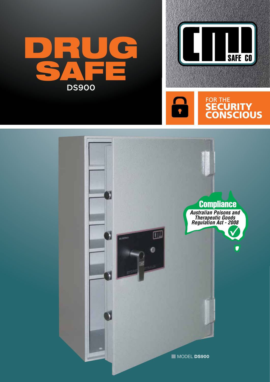